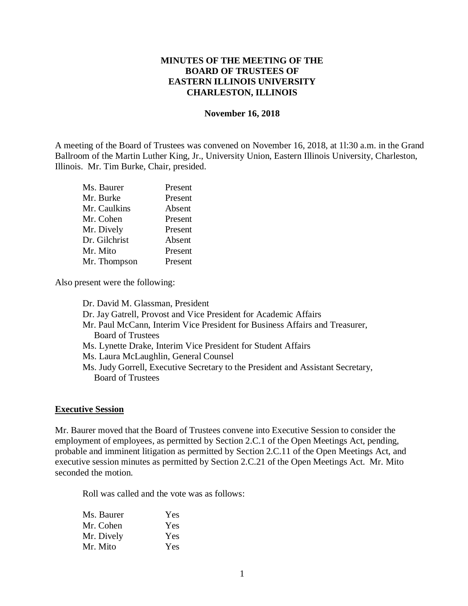## **MINUTES OF THE MEETING OF THE BOARD OF TRUSTEES OF EASTERN ILLINOIS UNIVERSITY CHARLESTON, ILLINOIS**

#### **November 16, 2018**

A meeting of the Board of Trustees was convened on November 16, 2018, at 1l:30 a.m. in the Grand Ballroom of the Martin Luther King, Jr., University Union, Eastern Illinois University, Charleston, Illinois. Mr. Tim Burke, Chair, presided.

| Ms. Baurer    | Present |
|---------------|---------|
| Mr. Burke     | Present |
| Mr. Caulkins  | Absent  |
| Mr. Cohen     | Present |
| Mr. Dively    | Present |
| Dr. Gilchrist | Absent  |
| Mr. Mito      | Present |
| Mr. Thompson  | Present |

Also present were the following:

Dr. David M. Glassman, President Dr. Jay Gatrell, Provost and Vice President for Academic Affairs Mr. Paul McCann, Interim Vice President for Business Affairs and Treasurer, Board of Trustees Ms. Lynette Drake, Interim Vice President for Student Affairs Ms. Laura McLaughlin, General Counsel Ms. Judy Gorrell, Executive Secretary to the President and Assistant Secretary, Board of Trustees

#### **Executive Session**

Mr. Baurer moved that the Board of Trustees convene into Executive Session to consider the employment of employees, as permitted by Section 2.C.1 of the Open Meetings Act, pending, probable and imminent litigation as permitted by Section 2.C.11 of the Open Meetings Act, and executive session minutes as permitted by Section 2.C.21 of the Open Meetings Act. Mr. Mito seconded the motion.

Roll was called and the vote was as follows:

| Ms. Baurer | Yes |
|------------|-----|
| Mr. Cohen  | Yes |
| Mr. Dively | Yes |
| Mr. Mito   | Yes |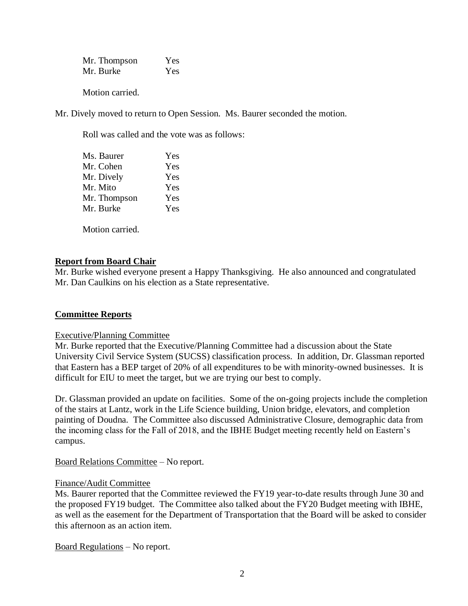Mr. Thompson Yes Mr. Burke Yes

Motion carried.

Mr. Dively moved to return to Open Session. Ms. Baurer seconded the motion.

Roll was called and the vote was as follows:

| Ms. Baurer   | Yes |
|--------------|-----|
| Mr. Cohen    | Yes |
| Mr. Dively   | Yes |
| Mr. Mito     | Yes |
| Mr. Thompson | Yes |
| Mr. Burke    | Yes |
|              |     |

Motion carried.

## **Report from Board Chair**

Mr. Burke wished everyone present a Happy Thanksgiving. He also announced and congratulated Mr. Dan Caulkins on his election as a State representative.

### **Committee Reports**

### Executive/Planning Committee

Mr. Burke reported that the Executive/Planning Committee had a discussion about the State University Civil Service System (SUCSS) classification process. In addition, Dr. Glassman reported that Eastern has a BEP target of 20% of all expenditures to be with minority-owned businesses. It is difficult for EIU to meet the target, but we are trying our best to comply.

Dr. Glassman provided an update on facilities. Some of the on-going projects include the completion of the stairs at Lantz, work in the Life Science building, Union bridge, elevators, and completion painting of Doudna. The Committee also discussed Administrative Closure, demographic data from the incoming class for the Fall of 2018, and the IBHE Budget meeting recently held on Eastern's campus.

Board Relations Committee – No report.

### Finance/Audit Committee

Ms. Baurer reported that the Committee reviewed the FY19 year-to-date results through June 30 and the proposed FY19 budget. The Committee also talked about the FY20 Budget meeting with IBHE, as well as the easement for the Department of Transportation that the Board will be asked to consider this afternoon as an action item.

Board Regulations – No report.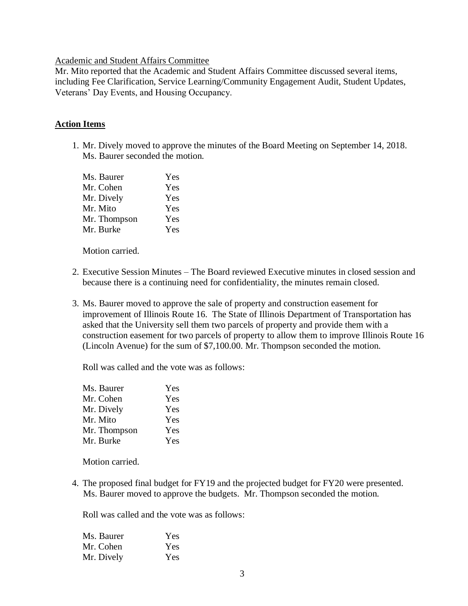#### Academic and Student Affairs Committee

Mr. Mito reported that the Academic and Student Affairs Committee discussed several items, including Fee Clarification, Service Learning/Community Engagement Audit, Student Updates, Veterans' Day Events, and Housing Occupancy.

### **Action Items**

1. Mr. Dively moved to approve the minutes of the Board Meeting on September 14, 2018. Ms. Baurer seconded the motion.

| Ms. Baurer   | Yes |
|--------------|-----|
| Mr. Cohen    | Yes |
| Mr. Dively   | Yes |
| Mr. Mito     | Yes |
| Mr. Thompson | Yes |
| Mr. Burke    | Yes |

Motion carried.

- 2. Executive Session Minutes The Board reviewed Executive minutes in closed session and because there is a continuing need for confidentiality, the minutes remain closed.
- 3. Ms. Baurer moved to approve the sale of property and construction easement for improvement of Illinois Route 16. The State of Illinois Department of Transportation has asked that the University sell them two parcels of property and provide them with a construction easement for two parcels of property to allow them to improve Illinois Route 16 (Lincoln Avenue) for the sum of \$7,100.00. Mr. Thompson seconded the motion.

Roll was called and the vote was as follows:

| Yes |
|-----|
| Yes |
| Yes |
| Yes |
| Yes |
| Yes |
|     |

Motion carried.

4. The proposed final budget for FY19 and the projected budget for FY20 were presented. Ms. Baurer moved to approve the budgets. Mr. Thompson seconded the motion.

Roll was called and the vote was as follows:

| Ms. Baurer | Yes |
|------------|-----|
| Mr. Cohen  | Yes |
| Mr. Dively | Yes |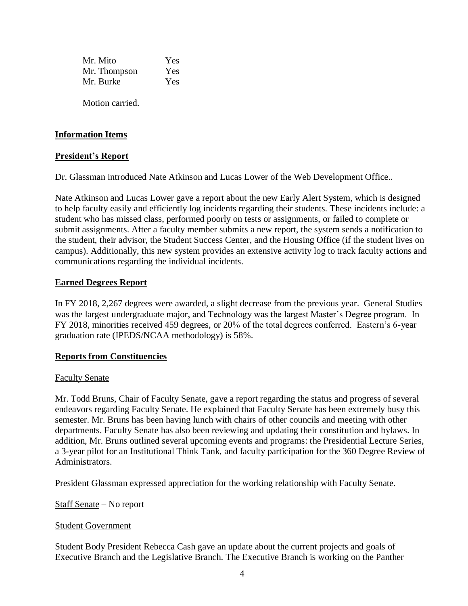| Mr. Mito     | Yes |
|--------------|-----|
| Mr. Thompson | Yes |
| Mr. Burke    | Yes |

Motion carried.

## **Information Items**

### **President's Report**

Dr. Glassman introduced Nate Atkinson and Lucas Lower of the Web Development Office..

Nate Atkinson and Lucas Lower gave a report about the new Early Alert System, which is designed to help faculty easily and efficiently log incidents regarding their students. These incidents include: a student who has missed class, performed poorly on tests or assignments, or failed to complete or submit assignments. After a faculty member submits a new report, the system sends a notification to the student, their advisor, the Student Success Center, and the Housing Office (if the student lives on campus). Additionally, this new system provides an extensive activity log to track faculty actions and communications regarding the individual incidents.

### **Earned Degrees Report**

In FY 2018, 2,267 degrees were awarded, a slight decrease from the previous year. General Studies was the largest undergraduate major, and Technology was the largest Master's Degree program. In FY 2018, minorities received 459 degrees, or 20% of the total degrees conferred. Eastern's 6-year graduation rate (IPEDS/NCAA methodology) is 58%.

### **Reports from Constituencies**

### Faculty Senate

Mr. Todd Bruns, Chair of Faculty Senate, gave a report regarding the status and progress of several endeavors regarding Faculty Senate. He explained that Faculty Senate has been extremely busy this semester. Mr. Bruns has been having lunch with chairs of other councils and meeting with other departments. Faculty Senate has also been reviewing and updating their constitution and bylaws. In addition, Mr. Bruns outlined several upcoming events and programs: the Presidential Lecture Series, a 3-year pilot for an Institutional Think Tank, and faculty participation for the 360 Degree Review of Administrators.

President Glassman expressed appreciation for the working relationship with Faculty Senate.

Staff Senate – No report

#### Student Government

Student Body President Rebecca Cash gave an update about the current projects and goals of Executive Branch and the Legislative Branch. The Executive Branch is working on the Panther